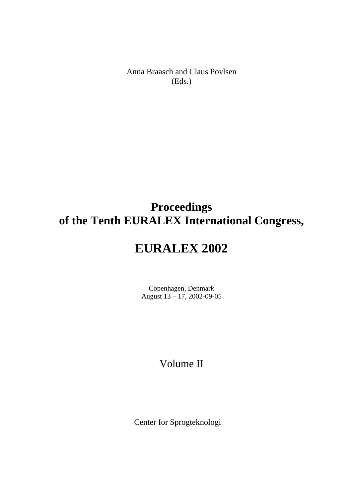Anna Braasch and Claus Povlsen (Eds.)

## **Proceedings of the Tenth EURALEX International Congress,**

# **EURALEX 2002**

Copenhagen, Denmark August 13 – 17, 2002-09-05

## Volume II

Center for Sprogteknologi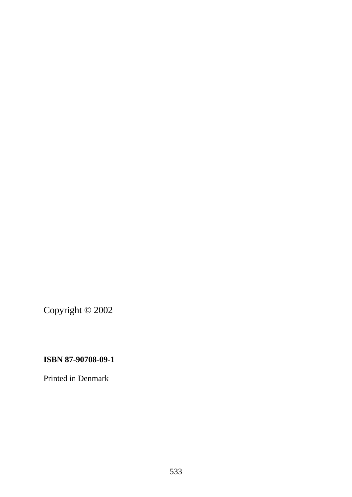Copyright © 2002

## **ISBN 87-90708-09-1**

Printed in Denmark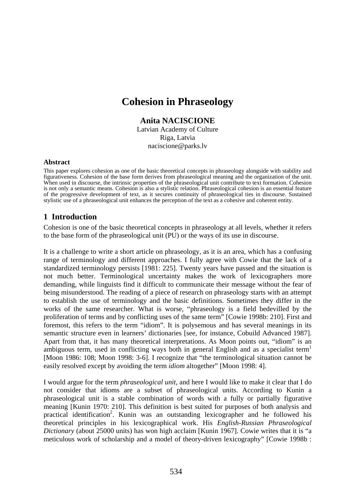## **Cohesion in Phraseology**

## **Anita NACISCIONE**

Latvian Academy of Culture Riga, Latvia naciscione@parks.lv

#### **Abstract**

This paper explores cohesion as one of the basic theoretical concepts in phraseology alongside with stability and figurativeness. Cohesion of the base form derives from phraseological meaning and the organization of the unit. When used in discourse, the intrinsic properties of the phraseological unit contribute to text formation. Cohesion is not only a semantic means. Cohesion is also a stylistic relation. Phraseological cohesion is an essential feature of the progressive development of text, as it secures continuity of phraseological ties in discourse. Sustained stylistic use of a phraseological unit enhances the perception of the text as a cohesive and coherent entity.

## **1 Introduction**

Cohesion is one of the basic theoretical concepts in phraseology at all levels, whether it refers to the base form of the phraseological unit (PU) or the ways of its use in discourse.

It is a challenge to write a short article on phraseology, as it is an area, which has a confusing range of terminology and different approaches. I fully agree with Cowie that the lack of a standardized terminology persists [1981: 225]. Twenty years have passed and the situation is not much better. Terminological uncertainty makes the work of lexicographers more demanding, while linguists find it difficult to communicate their message without the fear of being misunderstood. The reading of a piece of research on phraseology starts with an attempt to establish the use of terminology and the basic definitions. Sometimes they differ in the works of the same researcher. What is worse, "phraseology is a field bedevilled by the proliferation of terms and by conflicting uses of the same term" [Cowie 1998b: 210]. First and foremost, this refers to the term "idiom". It is polysemous and has several meanings in its semantic structure even in learners' dictionaries [see, for instance, Cobuild Advanced 1987]. Apart from that, it has many theoretical interpretations. As Moon points out, "idiom" is an ambiguous term, used in conflicting ways both in general English and as a specialist term<sup>1</sup> [Moon 1986: 108; Moon 1998: 3-6]. I recognize that "the terminological situation cannot be easily resolved except by avoiding the term *idiom* altogether" [Moon 1998: 4].

I would argue for the term *phraseological unit*, and here I would like to make it clear that I do not consider that idioms are a subset of phraseological units. According to Kunin a phraseological unit is a stable combination of words with a fully or partially figurative meaning [Kunin 1970: 210]. This definition is best suited for purposes of both analysis and practical identification<sup>2</sup>. Kunin was an outstanding lexicographer and he followed his theoretical principles in his lexicographical work. His *English-Russian Phraseological Dictionary* (about 25000 units) has won high acclaim [Kunin 1967]. Cowie writes that it is "a meticulous work of scholarship and a model of theory-driven lexicography" [Cowie 1998b :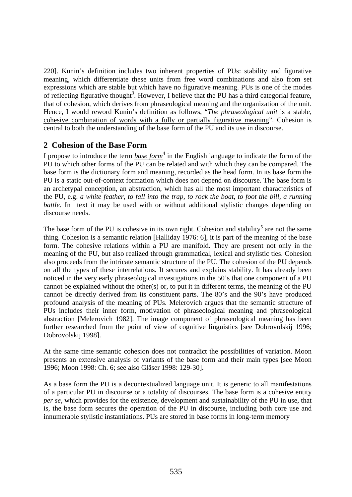220]. Kunin's definition includes two inherent properties of PUs: stability and figurative meaning, which differentiate these units from free word combinations and also from set expressions which are stable but which have no figurative meaning. PUs is one of the modes of reflecting figurative thought<sup>3</sup>. However, I believe that the PU has a third categorial feature, that of cohesion, which derives from phraseological meaning and the organization of the unit. Hence, I would reword Kunin's definition as follows, "*The phraseological unit* is a stable, cohesive combination of words with a fully or partially figurative meaning". Cohesion is central to both the understanding of the base form of the PU and its use in discourse.

## **2 Cohesion of the Base Form**

I propose to introduce the term *base form*<sup>4</sup> in the English language to indicate the form of the PU to which other forms of the PU can be related and with which they can be compared. The base form is the dictionary form and meaning, recorded as the head form. In its base form the PU is a static out-of-context formation which does not depend on discourse. The base form is an archetypal conception, an abstraction, which has all the most important characteristics of the PU, e.g. *a white feather, to fall into the trap, to rock the boat*, *to foot the bill, a running battle*. In text it may be used with or without additional stylistic changes depending on discourse needs.

The base form of the PU is cohesive in its own right. Cohesion and stability<sup>5</sup> are not the same thing. Cohesion is a semantic relation [Halliday 1976: 6], it is part of the meaning of the base form. The cohesive relations within a PU are manifold. They are present not only in the meaning of the PU, but also realized through grammatical, lexical and stylistic ties. Cohesion also proceeds from the intricate semantic structure of the PU. The cohesion of the PU depends on all the types of these interrelations. It secures and explains stability. It has already been noticed in the very early phraseological investigations in the 50's that one component of a PU cannot be explained without the other(s) or, to put it in different terms, the meaning of the PU cannot be directly derived from its constituent parts. The 80's and the 90's have produced profound analysis of the meaning of PUs. Melerovich argues that the semantic structure of PUs includes their inner form, motivation of phraseological meaning and phraseological abstraction [Melerovich 1982]. The image component of phraseological meaning has been further researched from the point of view of cognitive linguistics [see Dobrovolskij 1996; Dobrovolskij 1998].

At the same time semantic cohesion does not contradict the possibilities of variation. Moon presents an extensive analysis of variants of the base form and their main types [see Moon 1996; Moon 1998: Ch. 6; see also Gläser 1998: 129-30].

As a base form the PU is a decontextualized language unit. It is generic to all manifestations of a particular PU in discourse or a totality of discourses. The base form is a cohesive entity *per se*, which provides for the existence, development and sustainability of the PU in use, that is, the base form secures the operation of the PU in discourse, including both core use and innumerable stylistic instantiations. PUs are stored in base forms in long-term memory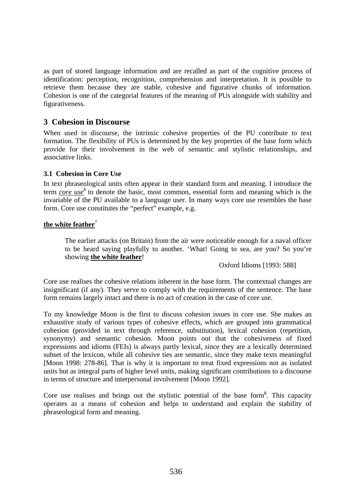as part of stored language information and are recalled as part of the cognitive process of identification: perception, recognition, comprehension and interpretation. It is possible to retrieve them because they are stable, cohesive and figurative chunks of information. Cohesion is one of the categorial features of the meaning of PUs alongside with stability and figurativeness.

## **3 Cohesion in Discourse**

When used in discourse, the intrinsic cohesive properties of the PU contribute to text formation. The flexibility of PUs is determined by the key properties of the base form which provide for their involvement in the web of semantic and stylistic relationships, and associative links.

#### **3.1 Cohesion in Core Use**

In text phraseological units often appear in their standard form and meaning. I introduce the term *core use* 6 to denote the basic, most common, essential form and meaning which is the invariable of the PU available to a language user. In many ways core use resembles the base form. Core use constitutes the "perfect" example, e.g.

#### the white feather<sup>7</sup>

The earlier attacks (on Britain) from the air were noticeable enough for a naval officer to be heard saying playfully to another. 'What! Going to sea, are you? So you're showing **the white feather**!

Oxford Idioms [1993: 588]

Core use realises the cohesive relations inherent in the base form. The contextual changes are insignificant (if any). They serve to comply with the requirements of the sentence. The base form remains largely intact and there is no act of creation in the case of core use.

To my knowledge Moon is the first to discuss cohesion issues in core use. She makes an exhaustive study of various types of cohesive effects, which are grouped into grammatical cohesion (provided in text through reference, substitution), lexical cohesion (repetition, synonymy) and semantic cohesion. Moon points out that the cohesiveness of fixed expressions and idioms (FEIs) is always partly lexical, since they are a lexically determined subset of the lexicon, while all cohesive ties are semantic, since they make texts meaningful [Moon 1998: 278-86]. That is why it is important to treat fixed expressions not as isolated units but as integral parts of higher level units, making significant contributions to a discourse in terms of structure and interpersonal involvement [Moon 1992].

Core use realises and brings out the stylistic potential of the base form<sup>8</sup>. This capacity operates as a means of cohesion and helps to understand and explain the stability of phraseological form and meaning.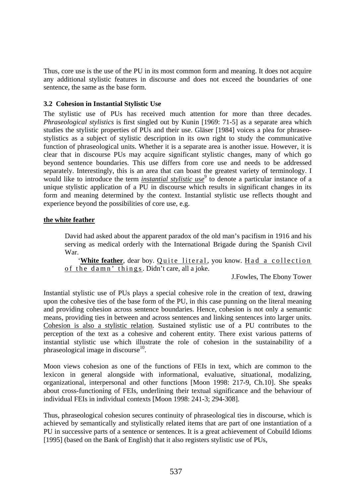Thus, core use is the use of the PU in its most common form and meaning. It does not acquire any additional stylistic features in discourse and does not exceed the boundaries of one sentence, the same as the base form.

#### **3.2 Cohesion in Instantial Stylistic Use**

The stylistic use of PUs has received much attention for more than three decades. *Phraseological stylistics* is first singled out by Kunin [1969: 71-5] as a separate area which studies the stylistic properties of PUs and their use. Gläser [1984] voices a plea for phraseostylistics as a subject of stylistic description in its own right to study the communicative function of phraseological units. Whether it is a separate area is another issue. However, it is clear that in discourse PUs may acquire significant stylistic changes, many of which go beyond sentence boundaries. This use differs from core use and needs to be addressed separately. Interestingly, this is an area that can boast the greatest variety of terminology. I would like to introduce the term *instantial stylistic use*<sup>9</sup> to denote a particular instance of a unique stylistic application of a PU in discourse which results in significant changes in its form and meaning determined by the context. Instantial stylistic use reflects thought and experience beyond the possibilities of core use, e.g.

#### **the white feather**

David had asked about the apparent paradox of the old man's pacifism in 1916 and his serving as medical orderly with the International Brigade during the Spanish Civil War.

'White feather, dear boy. Quite literal, you know. Had a collection of the damn' things. Didn't care, all a joke.

J.Fowles, The Ebony Tower

Instantial stylistic use of PUs plays a special cohesive role in the creation of text, drawing upon the cohesive ties of the base form of the PU, in this case punning on the literal meaning and providing cohesion across sentence boundaries. Hence, cohesion is not only a semantic means, providing ties in between and across sentences and linking sentences into larger units. Cohesion is also a stylistic relation. Sustained stylistic use of a PU contributes to the perception of the text as a cohesive and coherent entity. There exist various patterns of instantial stylistic use which illustrate the role of cohesion in the sustainability of a phraseological image in discourse $10$ .

Moon views cohesion as one of the functions of FEIs in text, which are common to the lexicon in general alongside with informational, evaluative, situational, modalizing, organizational, interpersonal and other functions [Moon 1998: 217-9, Ch.10]. She speaks about cross-functioning of FEIs, underlining their textual significance and the behaviour of individual FEIs in individual contexts [Moon 1998: 241-3; 294-308].

Thus, phraseological cohesion secures continuity of phraseological ties in discourse, which is achieved by semantically and stylistically related items that are part of one instantiation of a PU in successive parts of a sentence or sentences. It is a great achievement of Cobuild Idioms [1995] (based on the Bank of English) that it also registers stylistic use of PUs,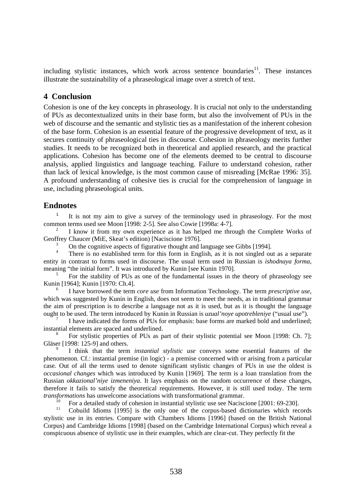including stylistic instances, which work across sentence boundaries<sup>11</sup>. These instances illustrate the sustainability of a phraseological image over a stretch of text.

### **4 Conclusion**

Cohesion is one of the key concepts in phraseology. It is crucial not only to the understanding of PUs as decontextualized units in their base form, but also the involvement of PUs in the web of discourse and the semantic and stylistic ties as a manifestation of the inherent cohesion of the base form. Cohesion is an essential feature of the progressive development of text, as it secures continuity of phraseological ties in discourse. Cohesion in phraseology merits further studies. It needs to be recognized both in theoretical and applied research, and the practical applications. Cohesion has become one of the elements deemed to be central to discourse analysis, applied linguistics and language teaching. Failure to understand cohesion, rather than lack of lexical knowledge, is the most common cause of misreading [McRae 1996: 35]. A profound understanding of cohesive ties is crucial for the comprehension of language in use, including phraseological units.

### **Endnotes**

<sup>1</sup> It is not my aim to give a survey of the terminology used in phraseology. For the most common terms used see Moon [1998: 2-5]. See also Cowie [1998a: 4-7].

2 I know it from my own experience as it has helped me through the Complete Works of Geoffrey Chaucer (MiE, Skeat's edition) [Naciscione 1976].

3 On the cognitive aspects of figurative thought and language see Gibbs [1994].

4 There is no established term for this form in English, as it is not singled out as a separate entity in contrast to forms used in discourse. The usual term used in Russian is *ishodnaya forma,*  meaning "the initial form". It was introduced by Kunin [see Kunin 1970].

5 For the stability of PUs as one of the fundamental issues in the theory of phraseology see Kunin [1964]; Kunin [1970: Ch.4].

<sup>6</sup> I have borrowed the term *core use* from Information Technology. The term *prescriptive use,* which was suggested by Kunin in English, does not seem to meet the needs, as in traditional grammar the aim of prescription is to describe a language not as it is used, but as it is thought the language ought to be used. The term introduced by Kunin in Russian is *uzual'noye upotrebleniye* ("usual use")*.* 7 I have indicated the forms of PUs for emphasis: base forms are marked bold and underlined;

instantial elements are spaced and underlined.

8 For stylistic properties of PUs as part of their stylistic potential see Moon [1998: Ch. 7]; Gläser [1998: 125-9] and others.

9 I think that the term *instantial stylistic use* conveys some essential features of the phenomenon*.* Cf.: instantial premise (in logic) - a premise concerned with or arising from a particular case. Out of all the terms used to denote significant stylistic changes of PUs in use the oldest is *occasional changes* which was introduced by Kunin [1969]. The term is a loan translation from the Russian *okkazional'niye izmeneniya*. It lays emphasis on the random occurrence of these changes, therefore it fails to satisfy the theoretical requirements. However, it is still used today. The term *transformations* has unwelcome associations with transformational grammar.

<sup>10</sup> For a detailed study of cohesion in instantial stylistic use see Naciscione [2001: 69-230].

11 Cobuild Idioms [1995] is the only one of the corpus-based dictionaries which records stylistic use in its entries. Compare with Chambers Idioms [1996] (based on the British National Corpus) and Cambridge Idioms [1998] (based on the Cambridge International Corpus) which reveal a conspicuous absence of stylistic use in their examples, which are clear-cut. They perfectly fit the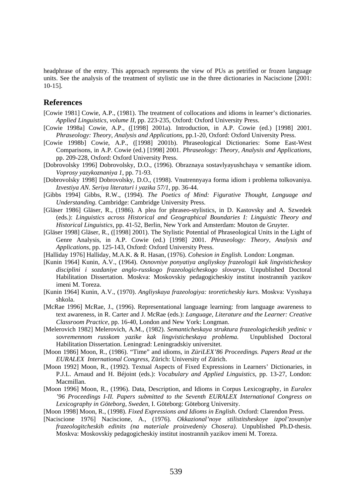headphrase of the entry. This approach represents the view of PUs as petrified or frozen language units. See the analysis of the treatment of stylistic use in the three dictionaries in Naciscione [2001: 10-15].

#### **References**

- [Cowie 1981] Cowie, A.P., (1981). The treatment of collocations and idioms in learner's dictionaries. *Applied Linguistics, volume II*, pp. 223-235, Oxford: Oxford University Press.
- [Cowie 1998a] Cowie, A.P., ([1998] 2001a). Introduction, in A.P. Cowie (ed.) [1998] 2001. *Phraseology: Theory, Analysis and Applications*, pp.1-20, Oxford: Oxford University Press.
- [Cowie 1998b] Cowie, A.P., ([1998] 2001b). Phraseological Dictionaries: Some East-West Comparisons, in A.P. Cowie (ed.) [1998] 2001. *Phraseology: Theory, Analysis and Applications*, pp. 209-228, Oxford: Oxford University Press.
- [Dobrovolsky 1996] Dobrovolsky, D.O., (1996). Obraznaya sostavlyayushchaya v semantike idiom. *Voprosy yazykoznaniya 1*, pp. 71-93.
- [Dobrovolsky 1998] Dobrovolsky, D.O., (1998). Vnutrennyaya forma idiom i problema tolkovaniya. *Izvestiya AN. Seriya literaturi i yazika 57/1*, pp. 36-44.
- [Gibbs 1994] Gibbs, R.W., (1994). *The Poetics of Mind: Figurative Thought, Language and Understanding.* Cambridge: Cambridge University Press.
- [Gläser 1986] Gläser, R., (1986). A plea for phraseo-stylistics, in D. Kastovsky and A. Szwedek (eds.): *Linguistics across Historical and Geographical Boundaries I: Linguistic Theory and Historical Linguistics,* pp. 41-52, Berlin, New York and Amsterdam: Mouton de Gruyter.
- [Gläser 1998] Gläser, R., ([1998] 2001). The Stylistic Potential of Phraseological Units in the Light of Genre Analysis, in A.P. Cowie (ed.) [1998] 2001. *Phraseology: Theory, Analysis and Applications*, pp. 125-143, Oxford: Oxford University Press.
- [Halliday 1976] Halliday, M.A.K. & R. Hasan, (1976). *Cohesion in English.* London: Longman.
- [Kunin 1964] Kunin, A.V., (1964). *Osnovniye ponyatiya angliyskoy frazeologii kak lingvisticheskoy disciplini i sozdaniye anglo-russkogo frazeologicheskogo slovarya.* Unpublished Doctoral Habilitation Dissertation. Moskva: Moskovskiy pedagogicheskiy institut inostrannih yazikov imeni M. Toreza.
- [Kunin 1964] Kunin, A.V., (1970). *Angliyskaya frazeologiya: teoreticheskiy kurs.* Moskva: Vysshaya shkola.
- [McRae 1996] McRae, J., (1996). Representational language learning: from language awareness to text awareness, in R. Carter and J. McRae (eds.): *Language, Literature and the Learner: Creative Classroom Practice*, pp. 16-40, London and New York: Longman.
- [Melerovich 1982] Melerovich, A.M., (1982). *Semanticheskaya struktura frazeologicheskih yedinic v sovremennom russkom yazike kak lingvisticheskaya problema.* Unpublished Doctoral Habilitation Dissertation. Leningrad: Leningradskiy universitet.
- [Moon 1986] Moon, R., (1986). "Time" and idioms, in *ZüriLEX'86 Proceedings. Papers Read at the EURALEX International Congress*, Zürich: University of Zürich.
- [Moon 1992] Moon, R., (1992). Textual Aspects of Fixed Expressions in Learners' Dictionaries, in P.J.L. Arnaud and H. Béjoint (eds.): *Vocabulary and Applied Linguistics*, pp. 13-27, London: Macmillan.
- [Moon 1996] Moon, R., (1996). Data, Description, and Idioms in Corpus Lexicography, in *Euralex '96 Proceedings I-II. Papers submitted to the Seventh EURALEX International Congress on Lexicography in Göteborg, Sweden,* I. Göteborg: Göteborg University.
- [Moon 1998] Moon, R., (1998). *Fixed Expressions and Idioms in English*. Oxford: Clarendon Press.
- [Naciscione 1976] Naciscione, A., (1976)*. Okkazional'noye stilistitsheskoye izpol'zovaniye frazeologitcheskih edinits (na materiale proizvedeniy Chosera).* Unpublished Ph.D-thesis. Moskva: Moskovskiy pedagogicheskiy institut inostrannih yazikov imeni M. Toreza.